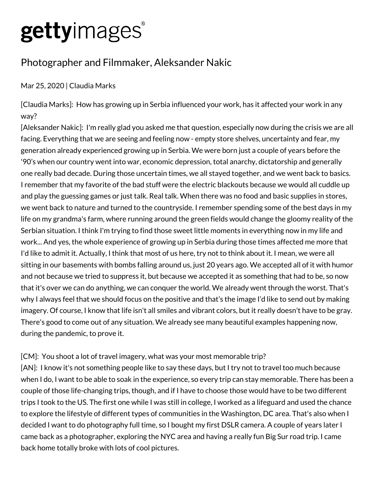# gettyimages®

## Photographer and Filmmaker, Aleksander Nakic

### Mar 25, 2020 | Claudia Marks

[Claudia Marks]: How has growing up in Serbia influenced your work, has it affected your work in any way?

[Aleksander Nakic]: I'm really glad you asked me that question, especially now during the crisis we are all facing. Everything that we are seeing and feeling now - empty store shelves, uncertainty and fear, my generation already experienced growing up in Serbia. We were born just a couple of years before the '90's when our country went into war, economic depression, total anarchy, dictatorship and generally one really bad decade. During those uncertain times, we all stayed together, and we went back to basics. I remember that my favorite of the bad stuff were the electric blackouts because we would all cuddle up and play the guessing games or just talk. Real talk. When there was no food and basic supplies in stores, we went back to nature and turned to the countryside. I remember spending some of the best days in my life on my grandma's farm, where running around the green fields would change the gloomy reality of the Serbian situation. I think I'm trying to find those sweet little moments in everything now in my life and work... And yes, the whole experience of growing up in Serbia during those times affected me more that I'd like to admit it. Actually, I think that most of us here, try not to think about it. I mean, we were all sitting in our basements with bombs falling around us, just 20 years ago. We accepted all of it with humor and not because we tried to suppress it, but because we accepted it as something that had to be, so now that it's over we can do anything, we can conquer the world. We already went through the worst. That's why I always feel that we should focus on the positive and that's the image I'd like to send out by making imagery. Of course, I know that life isn't all smiles and vibrant colors, but it really doesn't have to be gray. There's good to come out of any situation. We already see many beautiful examples happening now, during the pandemic, to prove it.

#### [CM]: You shoot a lot of travel imagery, what was your most memorable trip?

[AN]: I know it's not something people like to say these days, but I try not to travel too much because when I do, I want to be able to soak in the experience, so every trip can stay memorable. There has been a couple of those life-changing trips, though, and if I have to choose those would have to be two different trips I took to the US. The first one while I was still in college, I worked as a lifeguard and used the chance to explore the lifestyle of different types of communities in the Washington, DC area. That's also when I decided I want to do photography full time, so I bought my first DSLR camera. A couple of years later I came back as a photographer, exploring the NYC area and having a really fun Big Sur road trip. I came back home totally broke with lots of cool pictures.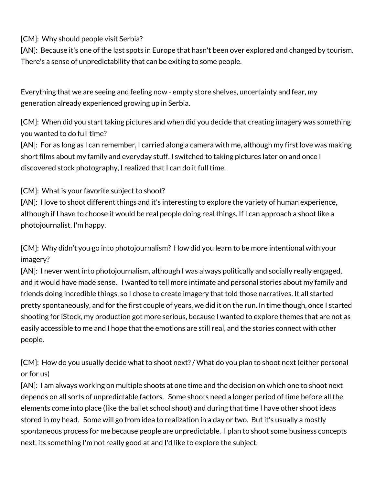[CM]: Why should people visit Serbia?

[AN]: Because it's one of the last spots in Europe that hasn't been over explored and changed by tourism. There's a sense of unpredictability that can be exiting to some people.

Everything that we are seeing and feeling now - empty store shelves, uncertainty and fear, my generation already experienced growing up in Serbia.

[CM]: When did you start taking pictures and when did you decide that creating imagery was something you wanted to do full time?

[AN]: For as long as I can remember, I carried along a camera with me, although my first love was making short films about my family and everyday stuff. I switched to taking pictures later on and once I discovered stock photography, I realized that I can do it full time.

#### [CM]: What is your favorite subject to shoot?

[AN]: I love to shoot different things and it's interesting to explore the variety of human experience, although if I have to choose it would be real people doing real things. If I can approach a shoot like a photojournalist, I'm happy.

[CM]: Why didn't you go into photojournalism? How did you learn to be more intentional with your imagery?

[AN]: I never went into photojournalism, although I was always politically and socially really engaged, and it would have made sense. I wanted to tell more intimate and personal stories about my family and friends doing incredible things, so I chose to create imagery that told those narratives. It all started pretty spontaneously, and for the first couple of years, we did it on the run. In time though, once I started shooting for iStock, my production got more serious, because I wanted to explore themes that are not as easily accessible to me and I hope that the emotions are still real, and the stories connect with other people.

[CM]: How do you usually decide what to shoot next? / What do you plan to shoot next (either personal or for us)

[AN]: I am always working on multiple shoots at one time and the decision on which one to shoot next depends on all sorts of unpredictable factors. Some shoots need a longer period of time before all the elements come into place (like the ballet school shoot) and during that time I have other shoot ideas stored in my head. Some will go from idea to realization in a day or two. But it's usually a mostly spontaneous process for me because people are unpredictable. I plan to shoot some business concepts next, its something I'm not really good at and I'd like to explore the subject.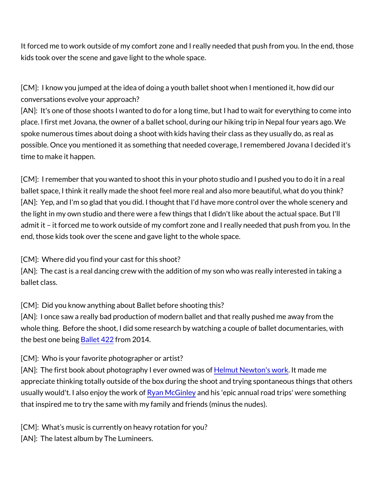It forced me to work outside of my comfort zone and I really needed kids took over the scene and gave light to the whole space.

[CM]: I know you jumped at the idea of doing a youth ballet shoot conversations evolve your approach? [AN]: It's one of those shoots I wanted to do for a long time, but I place. I first met Jovana, the owner of a ballet school, during our h spoke numerous times about doing a shoot with kids having their cl possible. Once you mentioned it as something that needed coverage time to make it happen.

[CM]: I remember that you wanted to shoot this in your photo studionally ballet space, I think it really made the shoot feel more real and als [AN]: Yep, and I'm so glad that you did. I thought that I'd have mo the light in my own studio and there were a few things that I didn't admit it it forced me to work outside of my comfort zone and I rea end, those kids took over the scene and gave light to the whole spa

[CM]: Where did you find your cast for this shoot?  $[AN]$ : The cast is a real dancing crew with the addition of my son  $\alpha$ ballet class.

[CM]: Did you know anything about Ballet before shooting this? [AN]: I once saw a really bad production of modern ballet and that whole thing. Before the shoot, I did some research by watching a couple of ballet documentaries, which are do the best one Bablet ent  $q42$   $q$  m 2014.

[CM]: Who is your favorite photographer or artist?  $[AND:$  The first book about photographhey I milety eNre own worme'd dit ware ald cef me appreciate thinking totally outside of the box during the shoot and usually would't. I also eRyoayntMe Gwiannik yohis 'epic annual road trips' w that inspired me to try the same with my family and friends (minus

[CM]: What s music is currently on heavy rotation for you? [AN]: The latest album by The Lumineers.